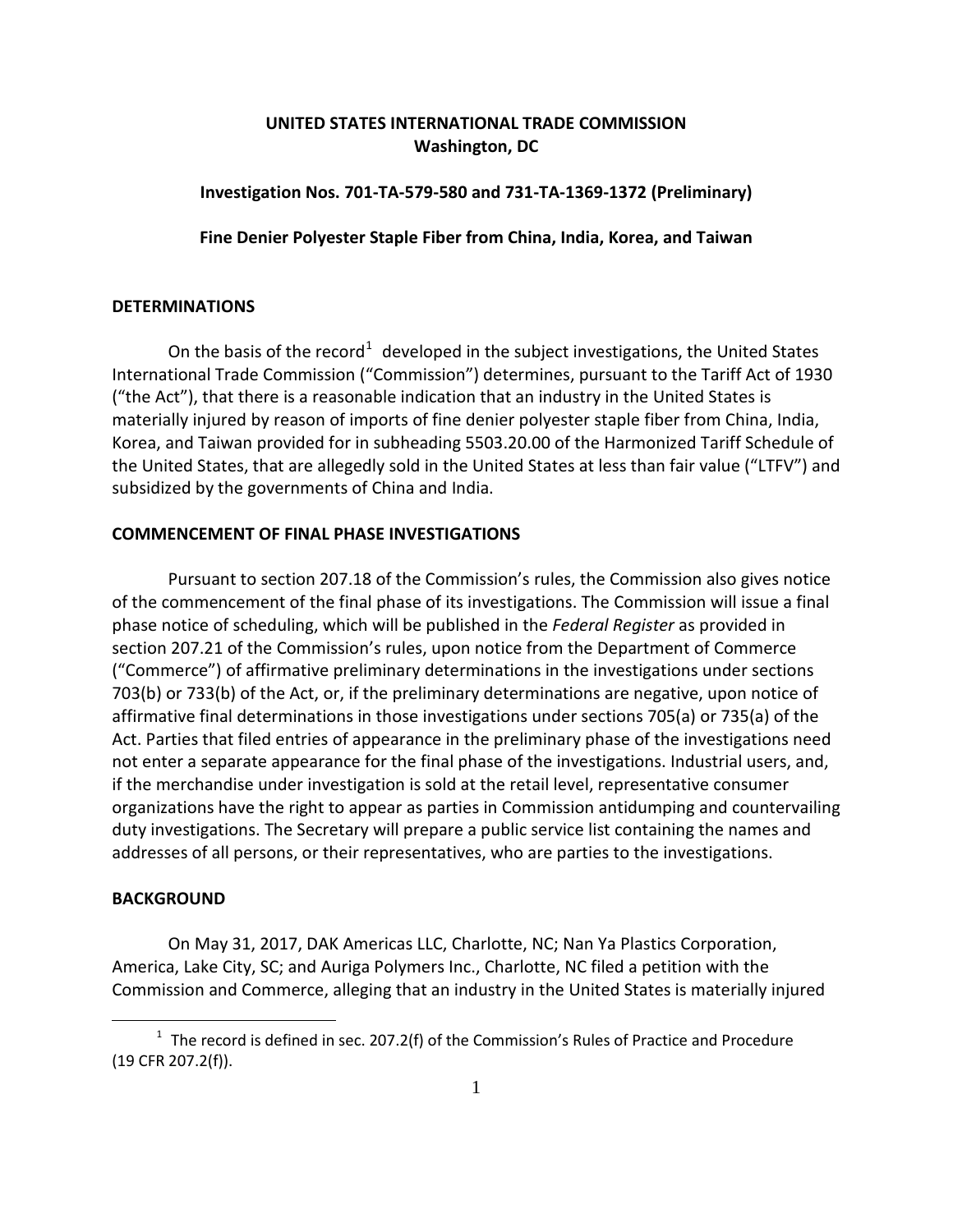# **UNITED STATES INTERNATIONAL TRADE COMMISSION Washington, DC**

## **Investigation Nos. 701-TA-579-580 and 731-TA-1369-1372 (Preliminary)**

**Fine Denier Polyester Staple Fiber from China, India, Korea, and Taiwan**

### **DETERMINATIONS**

On the basis of the record<sup>[1](#page-0-0)</sup> developed in the subject investigations, the United States International Trade Commission ("Commission") determines, pursuant to the Tariff Act of 1930 ("the Act"), that there is a reasonable indication that an industry in the United States is materially injured by reason of imports of fine denier polyester staple fiber from China, India, Korea, and Taiwan provided for in subheading 5503.20.00 of the Harmonized Tariff Schedule of the United States, that are allegedly sold in the United States at less than fair value ("LTFV") and subsidized by the governments of China and India.

## **COMMENCEMENT OF FINAL PHASE INVESTIGATIONS**

Pursuant to section 207.18 of the Commission's rules, the Commission also gives notice of the commencement of the final phase of its investigations. The Commission will issue a final phase notice of scheduling, which will be published in the *Federal Register* as provided in section 207.21 of the Commission's rules, upon notice from the Department of Commerce ("Commerce") of affirmative preliminary determinations in the investigations under sections 703(b) or 733(b) of the Act, or, if the preliminary determinations are negative, upon notice of affirmative final determinations in those investigations under sections 705(a) or 735(a) of the Act. Parties that filed entries of appearance in the preliminary phase of the investigations need not enter a separate appearance for the final phase of the investigations. Industrial users, and, if the merchandise under investigation is sold at the retail level, representative consumer organizations have the right to appear as parties in Commission antidumping and countervailing duty investigations. The Secretary will prepare a public service list containing the names and addresses of all persons, or their representatives, who are parties to the investigations.

### **BACKGROUND**

 $\overline{a}$ 

On May 31, 2017, DAK Americas LLC, Charlotte, NC; Nan Ya Plastics Corporation, America, Lake City, SC; and Auriga Polymers Inc., Charlotte, NC filed a petition with the Commission and Commerce, alleging that an industry in the United States is materially injured

<span id="page-0-0"></span> $1$  The record is defined in sec. 207.2(f) of the Commission's Rules of Practice and Procedure (19 CFR 207.2(f)).